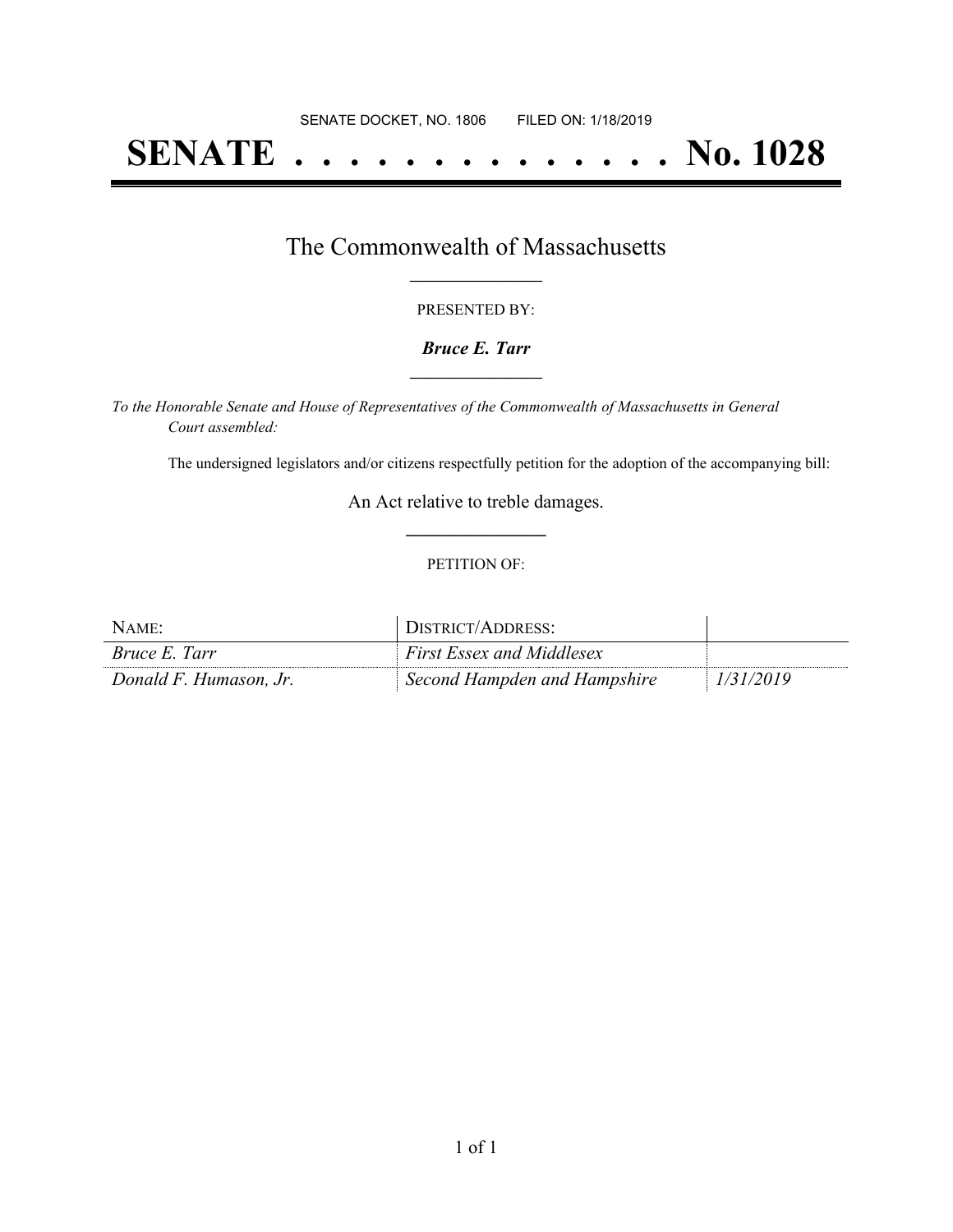# **SENATE . . . . . . . . . . . . . . No. 1028**

## The Commonwealth of Massachusetts **\_\_\_\_\_\_\_\_\_\_\_\_\_\_\_\_\_**

#### PRESENTED BY:

#### *Bruce E. Tarr* **\_\_\_\_\_\_\_\_\_\_\_\_\_\_\_\_\_**

*To the Honorable Senate and House of Representatives of the Commonwealth of Massachusetts in General Court assembled:*

The undersigned legislators and/or citizens respectfully petition for the adoption of the accompanying bill:

An Act relative to treble damages. **\_\_\_\_\_\_\_\_\_\_\_\_\_\_\_**

#### PETITION OF:

| NAME:                  | DISTRICT/ADDRESS:                |           |
|------------------------|----------------------------------|-----------|
| <i>Bruce E. Tarr</i>   | <b>First Essex and Middlesex</b> |           |
| Donald F. Humason, Jr. | Second Hampden and Hampshire     | 1/31/2019 |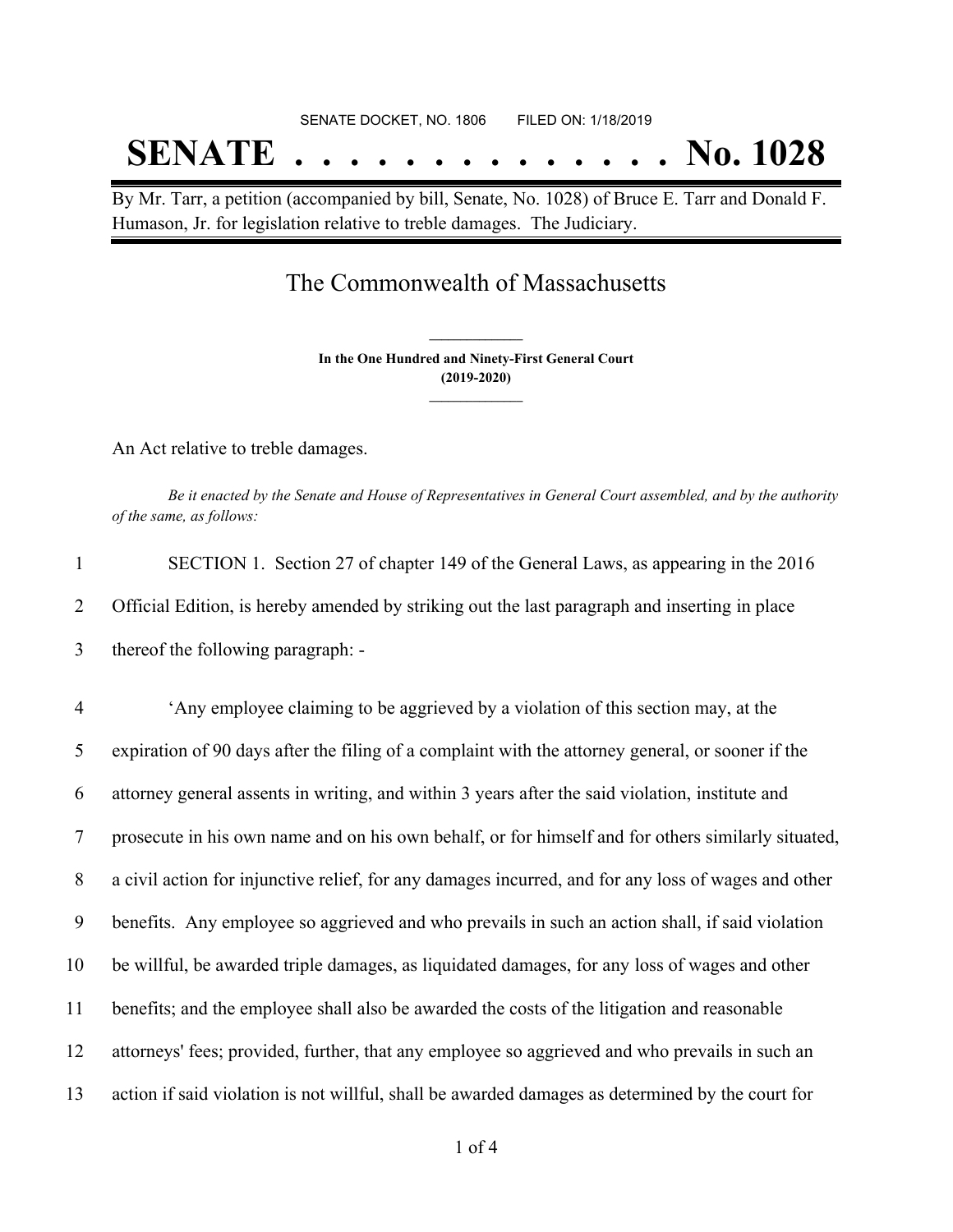# SENATE DOCKET, NO. 1806 FILED ON: 1/18/2019 **SENATE . . . . . . . . . . . . . . No. 1028**

By Mr. Tarr, a petition (accompanied by bill, Senate, No. 1028) of Bruce E. Tarr and Donald F. Humason, Jr. for legislation relative to treble damages. The Judiciary.

### The Commonwealth of Massachusetts

**In the One Hundred and Ninety-First General Court (2019-2020) \_\_\_\_\_\_\_\_\_\_\_\_\_\_\_**

**\_\_\_\_\_\_\_\_\_\_\_\_\_\_\_**

An Act relative to treble damages.

Be it enacted by the Senate and House of Representatives in General Court assembled, and by the authority *of the same, as follows:*

| SECTION 1. Section 27 of chapter 149 of the General Laws, as appearing in the 2016            |
|-----------------------------------------------------------------------------------------------|
| Official Edition, is hereby amended by striking out the last paragraph and inserting in place |
| thereof the following paragraph: -                                                            |

 'Any employee claiming to be aggrieved by a violation of this section may, at the expiration of 90 days after the filing of a complaint with the attorney general, or sooner if the attorney general assents in writing, and within 3 years after the said violation, institute and prosecute in his own name and on his own behalf, or for himself and for others similarly situated, a civil action for injunctive relief, for any damages incurred, and for any loss of wages and other benefits. Any employee so aggrieved and who prevails in such an action shall, if said violation be willful, be awarded triple damages, as liquidated damages, for any loss of wages and other benefits; and the employee shall also be awarded the costs of the litigation and reasonable attorneys' fees; provided, further, that any employee so aggrieved and who prevails in such an action if said violation is not willful, shall be awarded damages as determined by the court for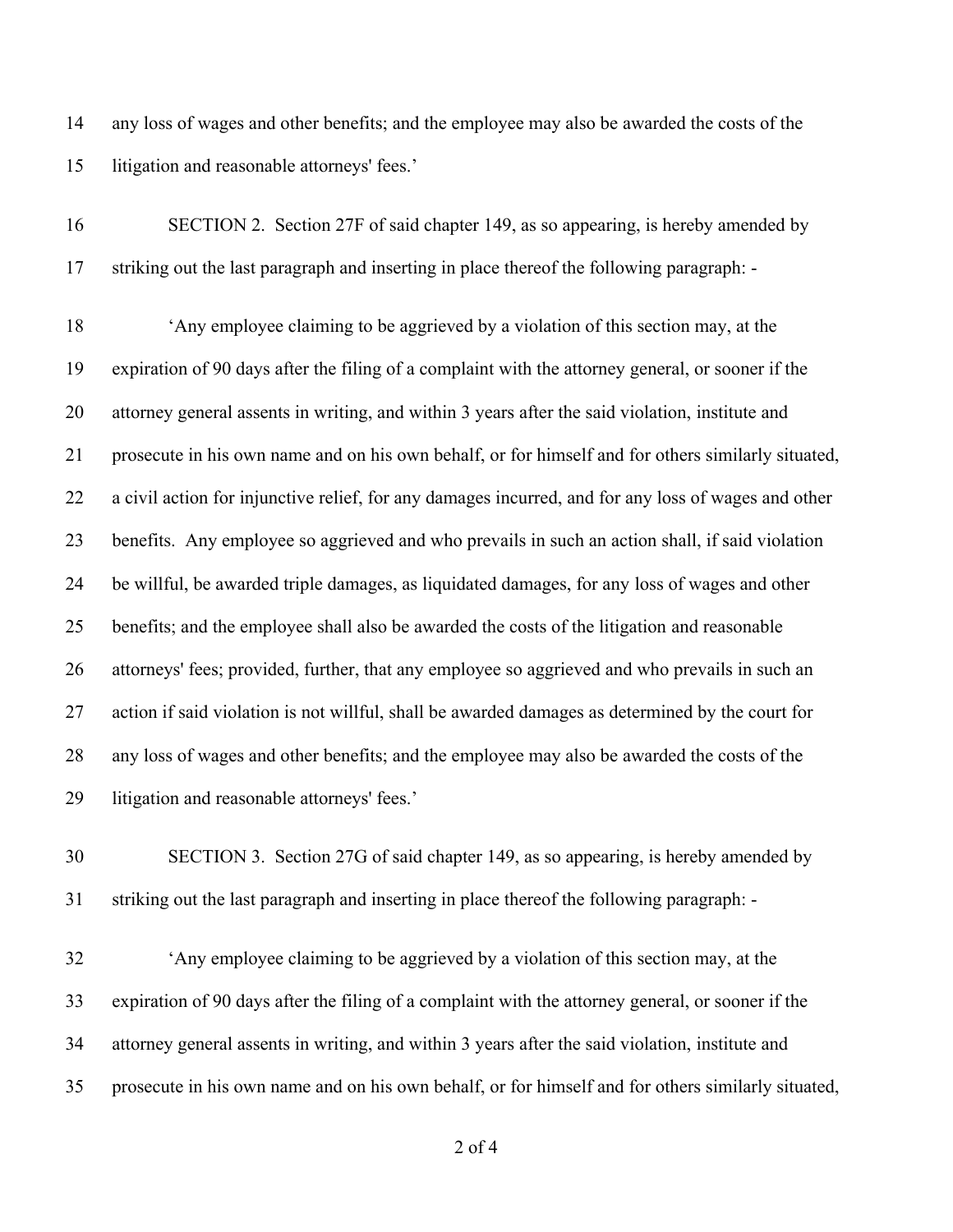any loss of wages and other benefits; and the employee may also be awarded the costs of the litigation and reasonable attorneys' fees.'

| 16 | SECTION 2. Section 27F of said chapter 149, as so appearing, is hereby amended by                   |
|----|-----------------------------------------------------------------------------------------------------|
| 17 | striking out the last paragraph and inserting in place thereof the following paragraph: -           |
| 18 | 'Any employee claiming to be aggrieved by a violation of this section may, at the                   |
| 19 | expiration of 90 days after the filing of a complaint with the attorney general, or sooner if the   |
| 20 | attorney general assents in writing, and within 3 years after the said violation, institute and     |
| 21 | prosecute in his own name and on his own behalf, or for himself and for others similarly situated,  |
| 22 | a civil action for injunctive relief, for any damages incurred, and for any loss of wages and other |
| 23 | benefits. Any employee so aggrieved and who prevails in such an action shall, if said violation     |
| 24 | be willful, be awarded triple damages, as liquidated damages, for any loss of wages and other       |
| 25 | benefits; and the employee shall also be awarded the costs of the litigation and reasonable         |
| 26 | attorneys' fees; provided, further, that any employee so aggrieved and who prevails in such an      |
| 27 | action if said violation is not willful, shall be awarded damages as determined by the court for    |
| 28 | any loss of wages and other benefits; and the employee may also be awarded the costs of the         |
| 29 | litigation and reasonable attorneys' fees.'                                                         |
|    |                                                                                                     |

 SECTION 3. Section 27G of said chapter 149, as so appearing, is hereby amended by striking out the last paragraph and inserting in place thereof the following paragraph: -

 'Any employee claiming to be aggrieved by a violation of this section may, at the expiration of 90 days after the filing of a complaint with the attorney general, or sooner if the attorney general assents in writing, and within 3 years after the said violation, institute and prosecute in his own name and on his own behalf, or for himself and for others similarly situated,

of 4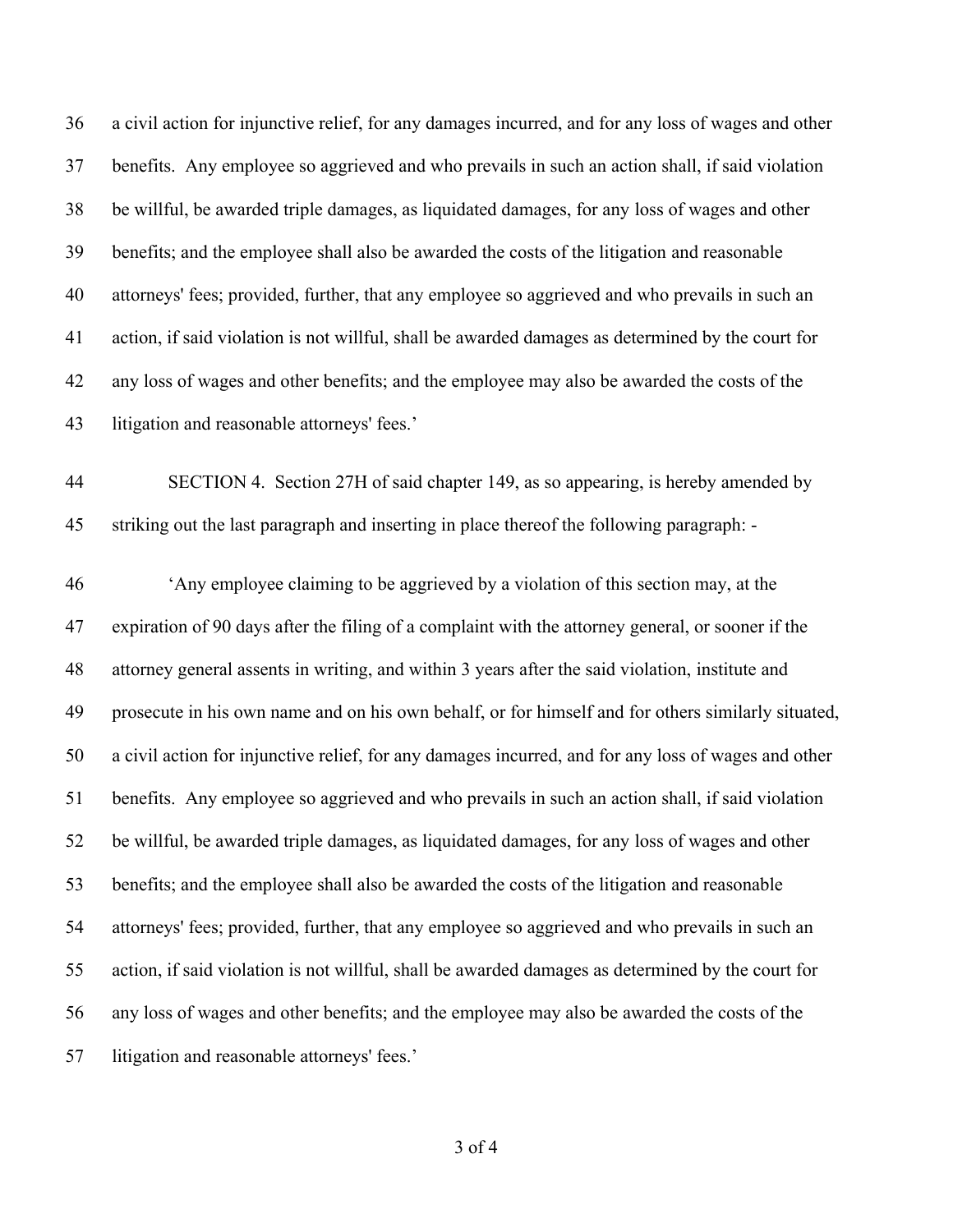a civil action for injunctive relief, for any damages incurred, and for any loss of wages and other benefits. Any employee so aggrieved and who prevails in such an action shall, if said violation be willful, be awarded triple damages, as liquidated damages, for any loss of wages and other benefits; and the employee shall also be awarded the costs of the litigation and reasonable attorneys' fees; provided, further, that any employee so aggrieved and who prevails in such an action, if said violation is not willful, shall be awarded damages as determined by the court for any loss of wages and other benefits; and the employee may also be awarded the costs of the litigation and reasonable attorneys' fees.'

 SECTION 4. Section 27H of said chapter 149, as so appearing, is hereby amended by striking out the last paragraph and inserting in place thereof the following paragraph: -

 'Any employee claiming to be aggrieved by a violation of this section may, at the expiration of 90 days after the filing of a complaint with the attorney general, or sooner if the attorney general assents in writing, and within 3 years after the said violation, institute and prosecute in his own name and on his own behalf, or for himself and for others similarly situated, a civil action for injunctive relief, for any damages incurred, and for any loss of wages and other benefits. Any employee so aggrieved and who prevails in such an action shall, if said violation be willful, be awarded triple damages, as liquidated damages, for any loss of wages and other benefits; and the employee shall also be awarded the costs of the litigation and reasonable attorneys' fees; provided, further, that any employee so aggrieved and who prevails in such an action, if said violation is not willful, shall be awarded damages as determined by the court for any loss of wages and other benefits; and the employee may also be awarded the costs of the litigation and reasonable attorneys' fees.'

of 4